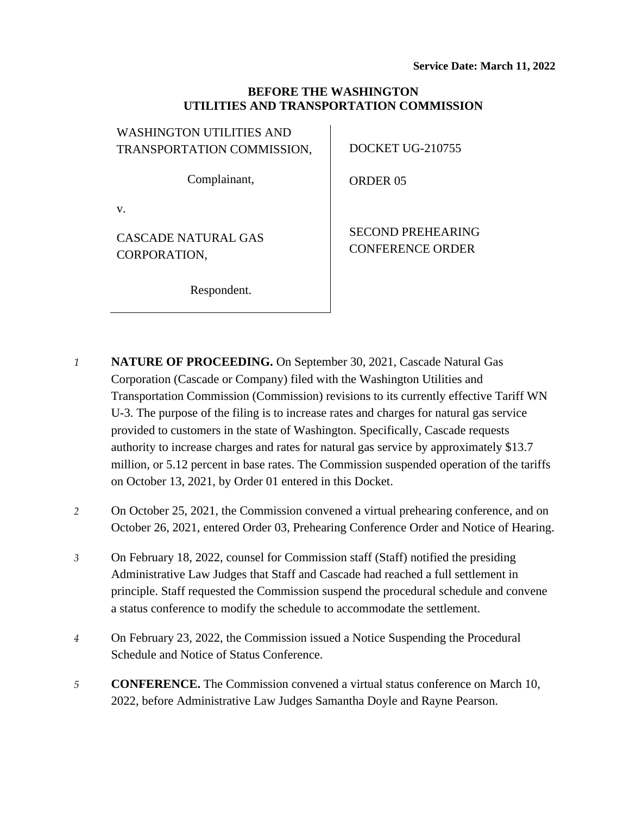## **BEFORE THE WASHINGTON UTILITIES AND TRANSPORTATION COMMISSION**

| WASHINGTON UTILITIES AND   |                          |
|----------------------------|--------------------------|
| TRANSPORTATION COMMISSION, | DOCKET UG-210755         |
|                            |                          |
| Complainant,               | <b>ORDER 05</b>          |
|                            |                          |
| V.                         |                          |
| CASCADE NATURAL GAS        | <b>SECOND PREHEARING</b> |
| CORPORATION,               | <b>CONFERENCE ORDER</b>  |
|                            |                          |
|                            |                          |

Respondent.

*1* **NATURE OF PROCEEDING.** On September 30, 2021, Cascade Natural Gas Corporation (Cascade or Company) filed with the Washington Utilities and Transportation Commission (Commission) revisions to its currently effective Tariff WN U-3. The purpose of the filing is to increase rates and charges for natural gas service provided to customers in the state of Washington. Specifically, Cascade requests authority to increase charges and rates for natural gas service by approximately \$13.7 million, or 5.12 percent in base rates. The Commission suspended operation of the tariffs on October 13, 2021, by Order 01 entered in this Docket.

- *2* On October 25, 2021, the Commission convened a virtual prehearing conference, and on October 26, 2021, entered Order 03, Prehearing Conference Order and Notice of Hearing.
- *3* On February 18, 2022, counsel for Commission staff (Staff) notified the presiding Administrative Law Judges that Staff and Cascade had reached a full settlement in principle. Staff requested the Commission suspend the procedural schedule and convene a status conference to modify the schedule to accommodate the settlement.
- *4* On February 23, 2022, the Commission issued a Notice Suspending the Procedural Schedule and Notice of Status Conference.
- *5* **CONFERENCE.** The Commission convened a virtual status conference on March 10, 2022, before Administrative Law Judges Samantha Doyle and Rayne Pearson.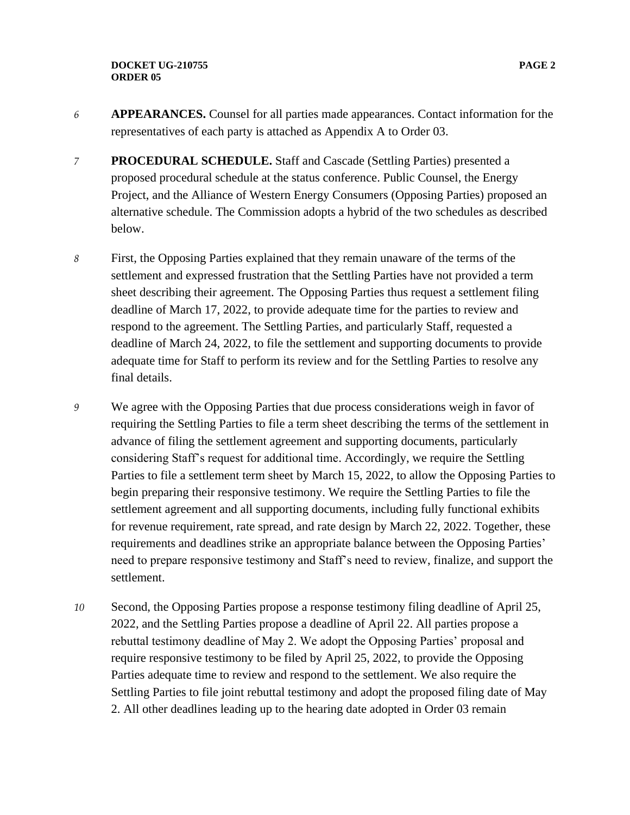- *6* **APPEARANCES.** Counsel for all parties made appearances. Contact information for the representatives of each party is attached as Appendix A to Order 03.
- *7* **PROCEDURAL SCHEDULE.** Staff and Cascade (Settling Parties) presented a proposed procedural schedule at the status conference. Public Counsel, the Energy Project, and the Alliance of Western Energy Consumers (Opposing Parties) proposed an alternative schedule. The Commission adopts a hybrid of the two schedules as described below.
- *8* First, the Opposing Parties explained that they remain unaware of the terms of the settlement and expressed frustration that the Settling Parties have not provided a term sheet describing their agreement. The Opposing Parties thus request a settlement filing deadline of March 17, 2022, to provide adequate time for the parties to review and respond to the agreement. The Settling Parties, and particularly Staff, requested a deadline of March 24, 2022, to file the settlement and supporting documents to provide adequate time for Staff to perform its review and for the Settling Parties to resolve any final details.
- *9* We agree with the Opposing Parties that due process considerations weigh in favor of requiring the Settling Parties to file a term sheet describing the terms of the settlement in advance of filing the settlement agreement and supporting documents, particularly considering Staff's request for additional time. Accordingly, we require the Settling Parties to file a settlement term sheet by March 15, 2022, to allow the Opposing Parties to begin preparing their responsive testimony. We require the Settling Parties to file the settlement agreement and all supporting documents, including fully functional exhibits for revenue requirement, rate spread, and rate design by March 22, 2022. Together, these requirements and deadlines strike an appropriate balance between the Opposing Parties' need to prepare responsive testimony and Staff's need to review, finalize, and support the settlement.
- *10* Second, the Opposing Parties propose a response testimony filing deadline of April 25, 2022, and the Settling Parties propose a deadline of April 22. All parties propose a rebuttal testimony deadline of May 2. We adopt the Opposing Parties' proposal and require responsive testimony to be filed by April 25, 2022, to provide the Opposing Parties adequate time to review and respond to the settlement. We also require the Settling Parties to file joint rebuttal testimony and adopt the proposed filing date of May 2. All other deadlines leading up to the hearing date adopted in Order 03 remain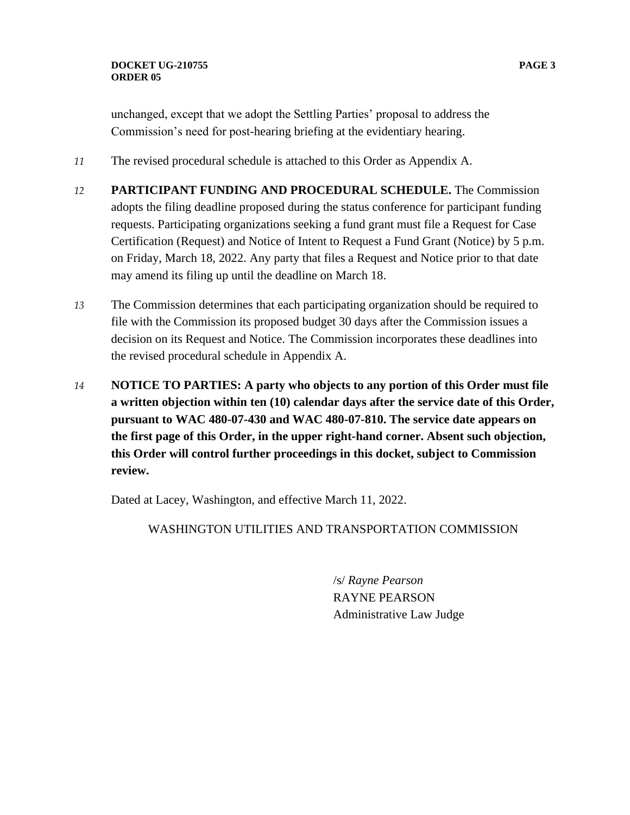- *11* The revised procedural schedule is attached to this Order as Appendix A.
- *12* **PARTICIPANT FUNDING AND PROCEDURAL SCHEDULE.** The Commission adopts the filing deadline proposed during the status conference for participant funding requests. Participating organizations seeking a fund grant must file a Request for Case Certification (Request) and Notice of Intent to Request a Fund Grant (Notice) by 5 p.m. on Friday, March 18, 2022. Any party that files a Request and Notice prior to that date may amend its filing up until the deadline on March 18.
- *13* The Commission determines that each participating organization should be required to file with the Commission its proposed budget 30 days after the Commission issues a decision on its Request and Notice. The Commission incorporates these deadlines into the revised procedural schedule in Appendix A.
- *14* **NOTICE TO PARTIES: A party who objects to any portion of this Order must file a written objection within ten (10) calendar days after the service date of this Order, pursuant to WAC 480-07-430 and WAC 480-07-810. The service date appears on the first page of this Order, in the upper right-hand corner. Absent such objection, this Order will control further proceedings in this docket, subject to Commission review.**

Dated at Lacey, Washington, and effective March 11, 2022.

WASHINGTON UTILITIES AND TRANSPORTATION COMMISSION

/s/ *Rayne Pearson* RAYNE PEARSON Administrative Law Judge